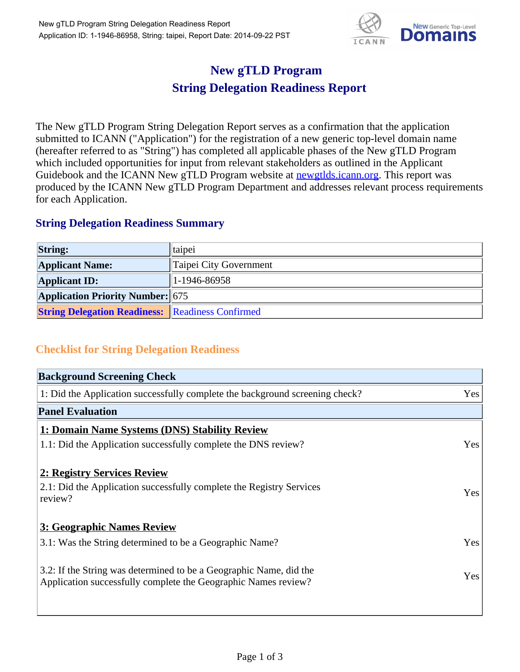

## **New gTLD Program String Delegation Readiness Report**

The New gTLD Program String Delegation Report serves as a confirmation that the application submitted to ICANN ("Application") for the registration of a new generic top-level domain name (hereafter referred to as "String") has completed all applicable phases of the New gTLD Program which included opportunities for input from relevant stakeholders as outlined in the Applicant Guidebook and the ICANN New gTLD Program website at newgtlds.icann.org. This report was produced by the ICANN New gTLD Program Department and addresses relevant process requirements for each Application.

## **String Delegation Readiness Summary**

| <b>String:</b>                                          | taipei                 |
|---------------------------------------------------------|------------------------|
| <b>Applicant Name:</b>                                  | Taipei City Government |
| <b>Applicant ID:</b>                                    | 1-1946-86958           |
| <b>Application Priority Number: 675</b>                 |                        |
| <b>String Delegation Readiness: Readiness Confirmed</b> |                        |

## **Checklist for String Delegation Readiness**

| <b>Background Screening Check</b>                                               |     |
|---------------------------------------------------------------------------------|-----|
| 1: Did the Application successfully complete the background screening check?    | Yes |
| <b>Panel Evaluation</b>                                                         |     |
| 1: Domain Name Systems (DNS) Stability Review                                   |     |
| 1.1: Did the Application successfully complete the DNS review?                  | Yes |
|                                                                                 |     |
| 2: Registry Services Review                                                     |     |
| 2.1: Did the Application successfully complete the Registry Services<br>review? | Yes |
| <b>3: Geographic Names Review</b>                                               |     |
|                                                                                 |     |
| 3.1: Was the String determined to be a Geographic Name?                         | Yes |
| 3.2: If the String was determined to be a Geographic Name, did the              |     |
| Application successfully complete the Geographic Names review?                  | Yes |
|                                                                                 |     |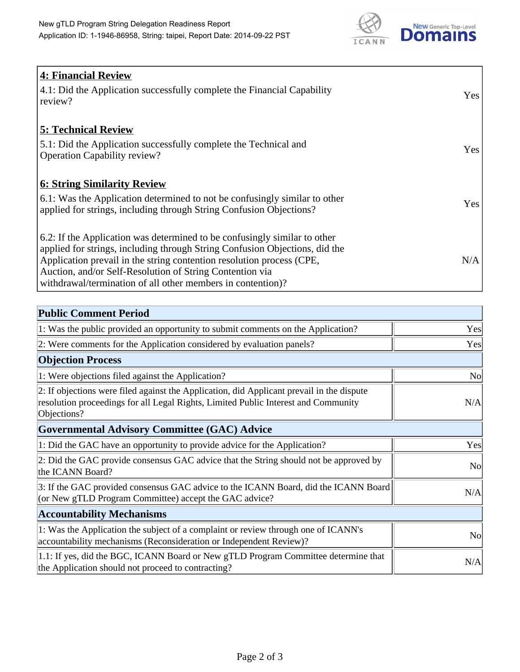

| 4: Financial Review                                                                |            |
|------------------------------------------------------------------------------------|------------|
| $\vert$ 4.1: Did the Application successfully complete the Financial Capability    | Yes        |
| review?                                                                            |            |
| <b>5: Technical Review</b>                                                         |            |
| 5.1: Did the Application successfully complete the Technical and                   | <b>Yes</b> |
| <b>Operation Capability review?</b>                                                |            |
|                                                                                    |            |
| <b>6: String Similarity Review</b>                                                 |            |
| $\vert$ 6.1: Was the Application determined to not be confusingly similar to other | Yes        |
| applied for strings, including through String Confusion Objections?                |            |
| 6.2: If the Application was determined to be confusingly similar to other          |            |
| applied for strings, including through String Confusion Objections, did the        |            |
| Application prevail in the string contention resolution process (CPE,              | N/A        |
| Auction, and/or Self-Resolution of String Contention via                           |            |
| withdrawal/termination of all other members in contention)?                        |            |

| <b>Public Comment Period</b>                                                                                                                                                                   |                |
|------------------------------------------------------------------------------------------------------------------------------------------------------------------------------------------------|----------------|
| 1: Was the public provided an opportunity to submit comments on the Application?                                                                                                               | Yes            |
| 2: Were comments for the Application considered by evaluation panels?                                                                                                                          | Yes            |
| <b>Objection Process</b>                                                                                                                                                                       |                |
| 1: Were objections filed against the Application?                                                                                                                                              | N <sub>0</sub> |
| 2: If objections were filed against the Application, did Applicant prevail in the dispute<br>resolution proceedings for all Legal Rights, Limited Public Interest and Community<br>Objections? | N/A            |
| <b>Governmental Advisory Committee (GAC) Advice</b>                                                                                                                                            |                |
| 1: Did the GAC have an opportunity to provide advice for the Application?                                                                                                                      | Yes            |
| 2: Did the GAC provide consensus GAC advice that the String should not be approved by<br>the ICANN Board?                                                                                      | <b>No</b>      |
| 3: If the GAC provided consensus GAC advice to the ICANN Board, did the ICANN Board<br>(or New gTLD Program Committee) accept the GAC advice?                                                  | N/A            |
| <b>Accountability Mechanisms</b>                                                                                                                                                               |                |
| 1: Was the Application the subject of a complaint or review through one of ICANN's<br>accountability mechanisms (Reconsideration or Independent Review)?                                       | N <sub>0</sub> |
| 1.1: If yes, did the BGC, ICANN Board or New gTLD Program Committee determine that<br>the Application should not proceed to contracting?                                                       | N/A            |